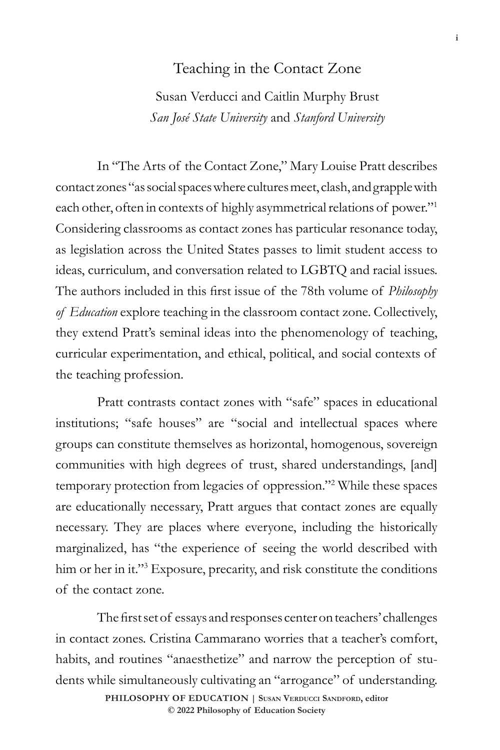## Teaching in the Contact Zone

Susan Verducci and Caitlin Murphy Brust *San José State University* and *Stanford University*

In "The Arts of the Contact Zone," Mary Louise Pratt describes contact zones "as social spaces where cultures meet, clash, and grapple with each other, often in contexts of highly asymmetrical relations of power."1 Considering classrooms as contact zones has particular resonance today, as legislation across the United States passes to limit student access to ideas, curriculum, and conversation related to LGBTQ and racial issues. The authors included in this first issue of the 78th volume of *Philosophy of Education* explore teaching in the classroom contact zone. Collectively, they extend Pratt's seminal ideas into the phenomenology of teaching, curricular experimentation, and ethical, political, and social contexts of the teaching profession.

Pratt contrasts contact zones with "safe" spaces in educational institutions; "safe houses" are "social and intellectual spaces where groups can constitute themselves as horizontal, homogenous, sovereign communities with high degrees of trust, shared understandings, [and] temporary protection from legacies of oppression."2 While these spaces are educationally necessary, Pratt argues that contact zones are equally necessary. They are places where everyone, including the historically marginalized, has "the experience of seeing the world described with him or her in it."<sup>3</sup> Exposure, precarity, and risk constitute the conditions of the contact zone.

The first set of essays and responses center on teachers' challenges in contact zones. Cristina Cammarano worries that a teacher's comfort, habits, and routines "anaesthetize" and narrow the perception of students while simultaneously cultivating an "arrogance" of understanding.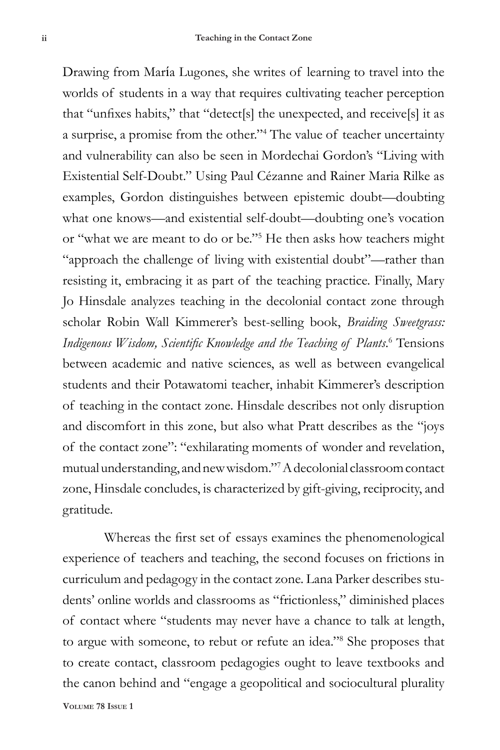Drawing from María Lugones, she writes of learning to travel into the worlds of students in a way that requires cultivating teacher perception that "unfixes habits," that "detect[s] the unexpected, and receive[s] it as a surprise, a promise from the other."4 The value of teacher uncertainty and vulnerability can also be seen in Mordechai Gordon's "Living with Existential Self-Doubt." Using Paul Cézanne and Rainer Maria Rilke as examples, Gordon distinguishes between epistemic doubt—doubting what one knows—and existential self-doubt—doubting one's vocation or "what we are meant to do or be."<sup>5</sup> He then asks how teachers might "approach the challenge of living with existential doubt"—rather than resisting it, embracing it as part of the teaching practice. Finally, Mary Jo Hinsdale analyzes teaching in the decolonial contact zone through scholar Robin Wall Kimmerer's best-selling book, *Braiding Sweetgrass:*  Indigenous Wisdom, Scientific Knowledge and the Teaching of Plants.<sup>6</sup> Tensions between academic and native sciences, as well as between evangelical students and their Potawatomi teacher, inhabit Kimmerer's description of teaching in the contact zone. Hinsdale describes not only disruption and discomfort in this zone, but also what Pratt describes as the "joys of the contact zone": "exhilarating moments of wonder and revelation, mutual understanding, and new wisdom."<sup>7</sup> A decolonial classroom contact zone, Hinsdale concludes, is characterized by gift-giving, reciprocity, and gratitude.

**Volume 78 Issue 1** Whereas the first set of essays examines the phenomenological experience of teachers and teaching, the second focuses on frictions in curriculum and pedagogy in the contact zone. Lana Parker describes students' online worlds and classrooms as "frictionless," diminished places of contact where "students may never have a chance to talk at length, to argue with someone, to rebut or refute an idea."<sup>8</sup> She proposes that to create contact, classroom pedagogies ought to leave textbooks and the canon behind and "engage a geopolitical and sociocultural plurality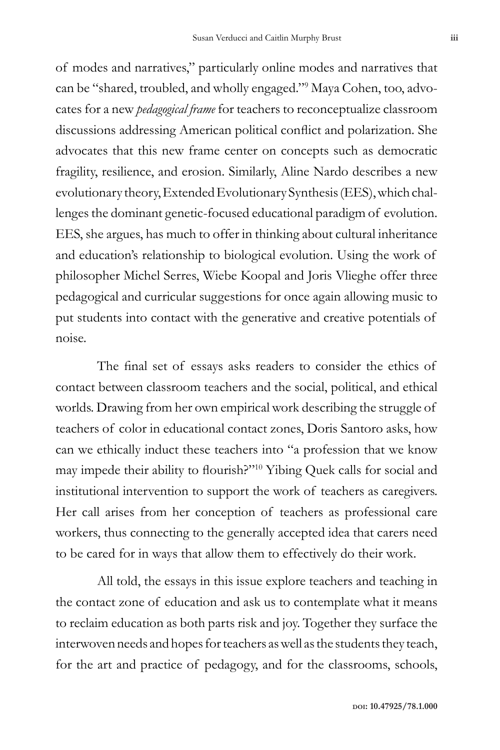of modes and narratives," particularly online modes and narratives that can be "shared, troubled, and wholly engaged."9 Maya Cohen, too, advocates for a new *pedagogical frame* for teachers to reconceptualize classroom discussions addressing American political conflict and polarization. She advocates that this new frame center on concepts such as democratic fragility, resilience, and erosion. Similarly, Aline Nardo describes a new evolutionary theory, Extended Evolutionary Synthesis (EES), which challenges the dominant genetic-focused educational paradigm of evolution. EES, she argues, has much to offer in thinking about cultural inheritance and education's relationship to biological evolution. Using the work of philosopher Michel Serres, Wiebe Koopal and Joris Vlieghe offer three pedagogical and curricular suggestions for once again allowing music to put students into contact with the generative and creative potentials of noise.

The final set of essays asks readers to consider the ethics of contact between classroom teachers and the social, political, and ethical worlds. Drawing from her own empirical work describing the struggle of teachers of color in educational contact zones, Doris Santoro asks, how can we ethically induct these teachers into "a profession that we know may impede their ability to flourish?"10 Yibing Quek calls for social and institutional intervention to support the work of teachers as caregivers. Her call arises from her conception of teachers as professional care workers, thus connecting to the generally accepted idea that carers need to be cared for in ways that allow them to effectively do their work.

All told, the essays in this issue explore teachers and teaching in the contact zone of education and ask us to contemplate what it means to reclaim education as both parts risk and joy. Together they surface the interwoven needs and hopes for teachers as well as the students they teach, for the art and practice of pedagogy, and for the classrooms, schools,